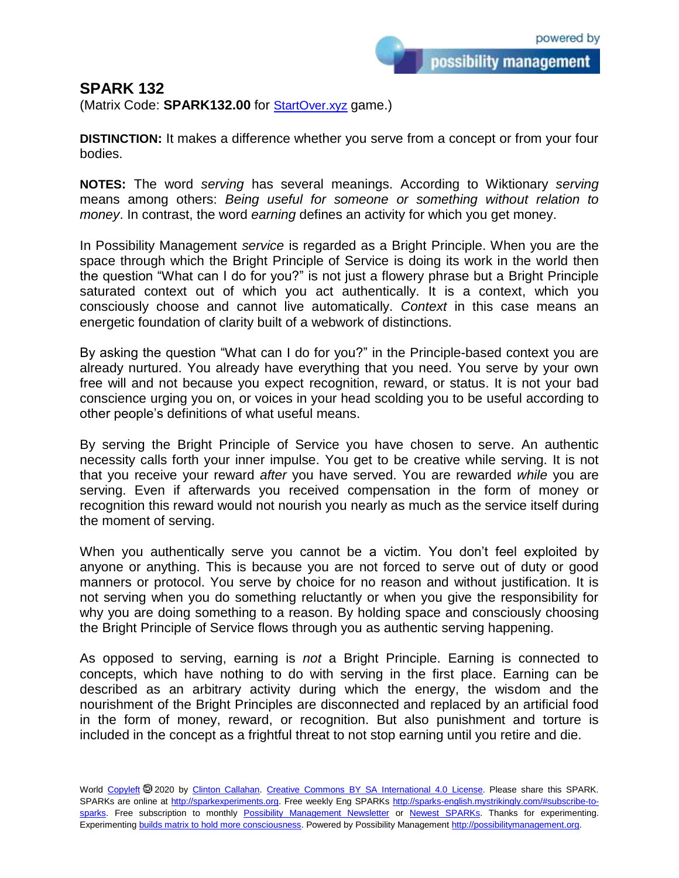possibility management

## **SPARK 132**

(Matrix Code: **SPARK132.00** for [StartOver.xyz](https://startoverxyz.mystrikingly.com/) game.)

**DISTINCTION:** It makes a difference whether you serve from a concept or from your four bodies.

**NOTES:** The word *serving* has several meanings. According to Wiktionary *serving* means among others: *Being useful for someone or something without relation to money*. In contrast, the word *earning* defines an activity for which you get money.

In Possibility Management *service* is regarded as a Bright Principle. When you are the space through which the Bright Principle of Service is doing its work in the world then the question "What can I do for you?" is not just a flowery phrase but a Bright Principle saturated context out of which you act authentically. It is a context, which you consciously choose and cannot live automatically. *Context* in this case means an energetic foundation of clarity built of a webwork of distinctions.

By asking the question "What can I do for you?" in the Principle-based context you are already nurtured. You already have everything that you need. You serve by your own free will and not because you expect recognition, reward, or status. It is not your bad conscience urging you on, or voices in your head scolding you to be useful according to other people's definitions of what useful means.

By serving the Bright Principle of Service you have chosen to serve. An authentic necessity calls forth your inner impulse. You get to be creative while serving. It is not that you receive your reward *after* you have served. You are rewarded *while* you are serving. Even if afterwards you received compensation in the form of money or recognition this reward would not nourish you nearly as much as the service itself during the moment of serving.

When you authentically serve you cannot be a victim. You don't feel exploited by anyone or anything. This is because you are not forced to serve out of duty or good manners or protocol. You serve by choice for no reason and without justification. It is not serving when you do something reluctantly or when you give the responsibility for why you are doing something to a reason. By holding space and consciously choosing the Bright Principle of Service flows through you as authentic serving happening.

As opposed to serving, earning is *not* a Bright Principle. Earning is connected to concepts, which have nothing to do with serving in the first place. Earning can be described as an arbitrary activity during which the energy, the wisdom and the nourishment of the Bright Principles are disconnected and replaced by an artificial food in the form of money, reward, or recognition. But also punishment and torture is included in the concept as a frightful threat to not stop earning until you retire and die.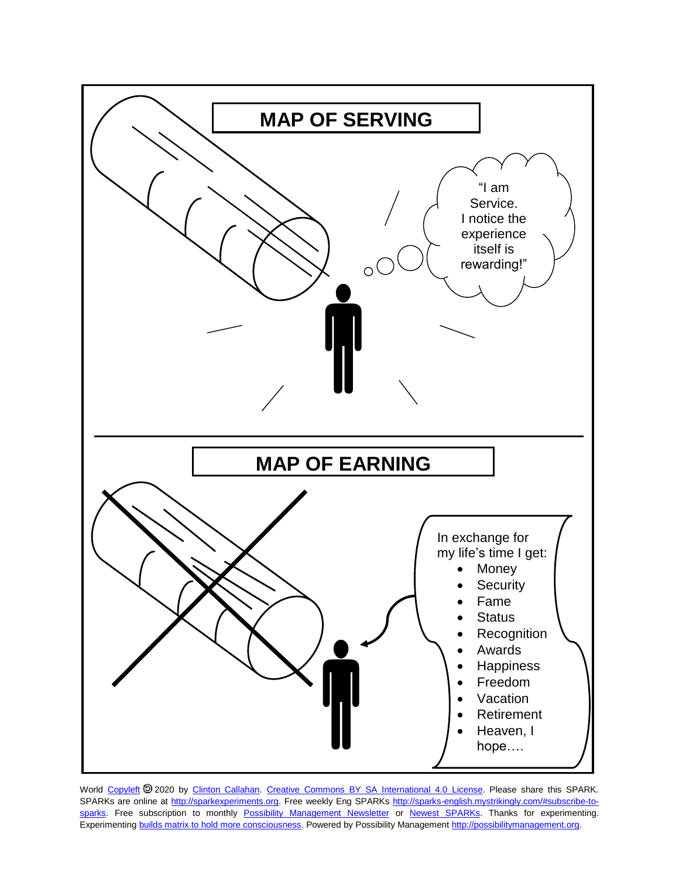

World [Copyleft](https://en.wikipedia.org/wiki/Copyleft) @ 2020 by [Clinton Callahan.](http://clintoncallahan.mystrikingly.com/) [Creative Commons BY SA International 4.0 License.](https://creativecommons.org/licenses/by-sa/4.0/) Please share this SPARK. SPARKs are online at [http://sparkexperiments.org.](http://sparks-english.mystrikingly.com/) Free weekly Eng SPARKs [http://sparks-english.mystrikingly.com/#subscribe-to](http://sparks-english.mystrikingly.com/#subscribe-to-sparks)[sparks.](http://sparks-english.mystrikingly.com/#subscribe-to-sparks) Free subscription to monthly [Possibility Management Newsletter](https://possibilitymanagement.org/news/) or [Newest SPARKs.](https://www.clintoncallahan.org/newsletter-1) Thanks for experimenting. Experimentin[g builds matrix to hold more consciousness.](http://spaceport.mystrikingly.com/) Powered by Possibility Managemen[t http://possibilitymanagement.org.](http://possibilitymanagement.org/)